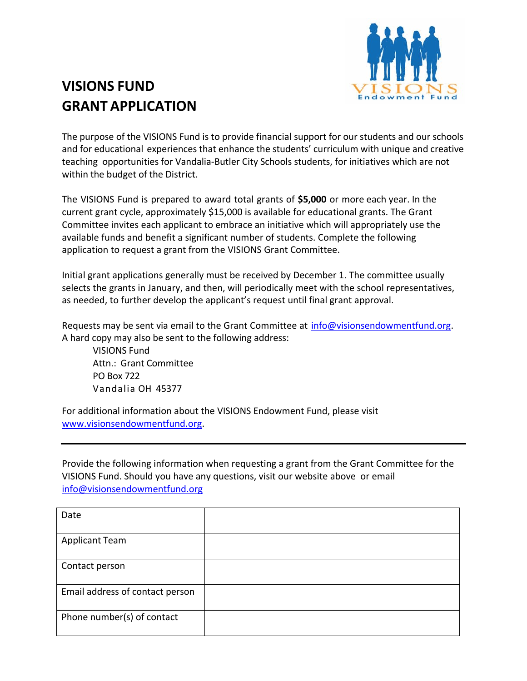

## **VISIONS FUND GRANT APPLICATION**

The purpose of the VISIONS Fund is to provide financial support for our students and our schools and for educational experiences that enhance the students' curriculum with unique and creative teaching opportunities for Vandalia‐Butler City Schools students, for initiatives which are not within the budget of the District.

The VISIONS Fund is prepared to award total grants of **\$5,000** or more each year. In the current grant cycle, approximately \$15,000 is available for educational grants. The Grant Committee invites each applicant to embrace an initiative which will appropriately use the available funds and benefit a significant number of students. Complete the following application to request a grant from the VISIONS Grant Committee.

Initial grant applications generally must be received by December 1. The committee usually selects the grants in January, and then, will periodically meet with the school representatives, as needed, to further develop the applicant's request until final grant approval.

Requests may be sent via email to the Grant Committee at info@visionsendowmentfund.org. A hard copy may also be sent to the following address:

VISIONS Fund Attn.: Grant Committee PO Box 722 Vandalia OH 45377

For additional information about the VISIONS Endowment Fund, please visit www.visionsendowmentfund.org.

Provide the following information when requesting a grant from the Grant Committee for the VISIONS Fund. Should you have any questions, visit our website above or email info@visionsendowmentfund.org

| Date                            |  |
|---------------------------------|--|
| <b>Applicant Team</b>           |  |
| Contact person                  |  |
| Email address of contact person |  |
| Phone number(s) of contact      |  |